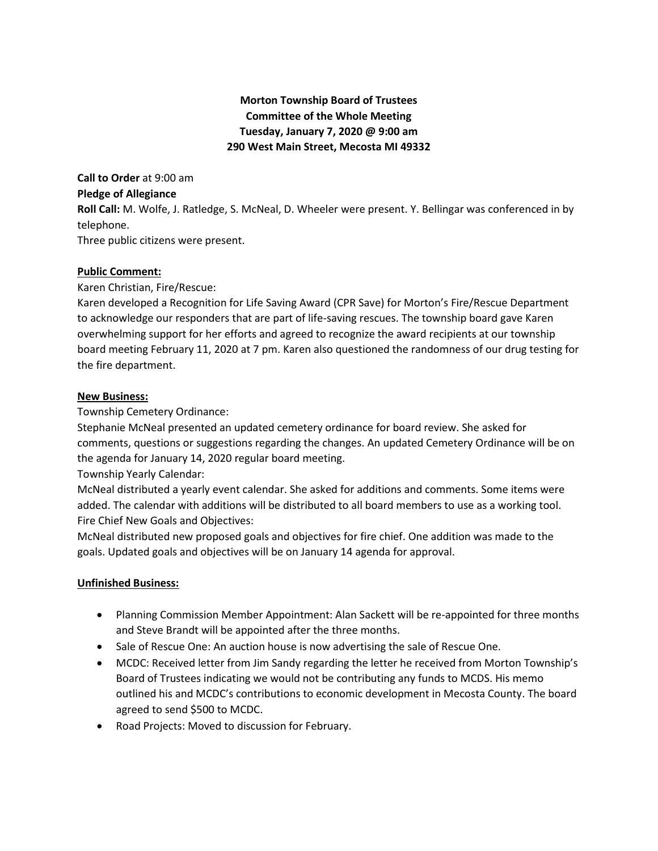# **Morton Township Board of Trustees Committee of the Whole Meeting Tuesday, January 7, 2020 @ 9:00 am 290 West Main Street, Mecosta MI 49332**

**Call to Order** at 9:00 am **Pledge of Allegiance Roll Call:** M. Wolfe, J. Ratledge, S. McNeal, D. Wheeler were present. Y. Bellingar was conferenced in by telephone. Three public citizens were present.

## **Public Comment:**

Karen Christian, Fire/Rescue:

Karen developed a Recognition for Life Saving Award (CPR Save) for Morton's Fire/Rescue Department to acknowledge our responders that are part of life-saving rescues. The township board gave Karen overwhelming support for her efforts and agreed to recognize the award recipients at our township board meeting February 11, 2020 at 7 pm. Karen also questioned the randomness of our drug testing for the fire department.

#### **New Business:**

Township Cemetery Ordinance:

Stephanie McNeal presented an updated cemetery ordinance for board review. She asked for comments, questions or suggestions regarding the changes. An updated Cemetery Ordinance will be on the agenda for January 14, 2020 regular board meeting.

Township Yearly Calendar:

McNeal distributed a yearly event calendar. She asked for additions and comments. Some items were added. The calendar with additions will be distributed to all board members to use as a working tool. Fire Chief New Goals and Objectives:

McNeal distributed new proposed goals and objectives for fire chief. One addition was made to the goals. Updated goals and objectives will be on January 14 agenda for approval.

# **Unfinished Business:**

- Planning Commission Member Appointment: Alan Sackett will be re-appointed for three months and Steve Brandt will be appointed after the three months.
- Sale of Rescue One: An auction house is now advertising the sale of Rescue One.
- MCDC: Received letter from Jim Sandy regarding the letter he received from Morton Township's Board of Trustees indicating we would not be contributing any funds to MCDS. His memo outlined his and MCDC's contributions to economic development in Mecosta County. The board agreed to send \$500 to MCDC.
- Road Projects: Moved to discussion for February.